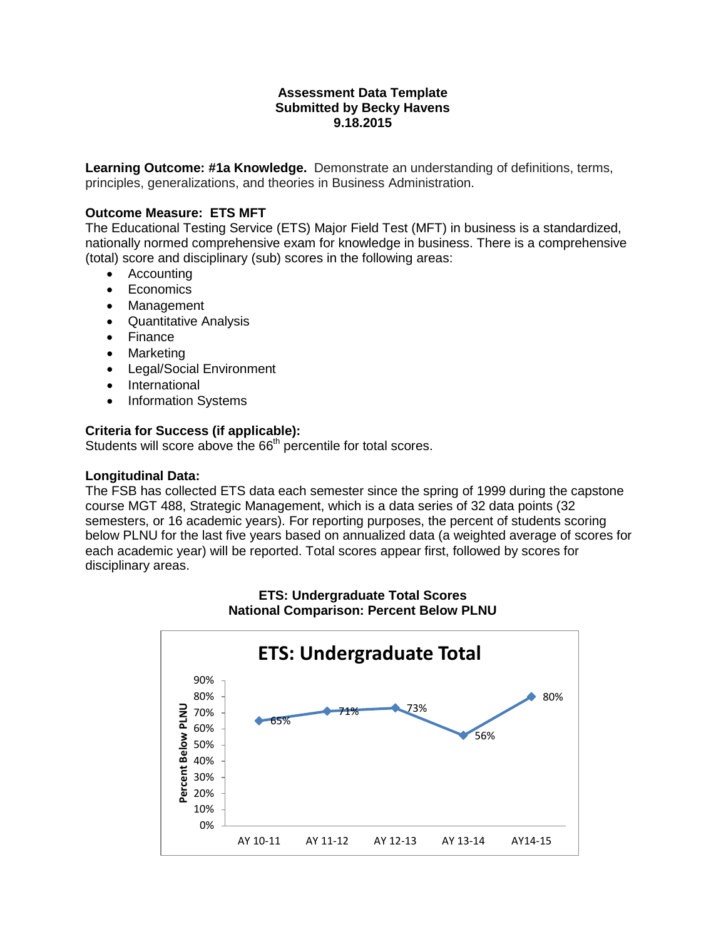### **Assessment Data Template Submitted by Becky Havens 9.18.2015**

**Learning Outcome: #1a Knowledge.** Demonstrate an understanding of definitions, terms, principles, generalizations, and theories in Business Administration.

## **Outcome Measure: ETS MFT**

The Educational Testing Service (ETS) Major Field Test (MFT) in business is a standardized, nationally normed comprehensive exam for knowledge in business. There is a comprehensive (total) score and disciplinary (sub) scores in the following areas:

- Accounting
- Economics
- Management
- Quantitative Analysis
- Finance
- Marketing
- Legal/Social Environment
- International
- Information Systems

## **Criteria for Success (if applicable):**

Students will score above the 66<sup>th</sup> percentile for total scores.

#### **Longitudinal Data:**

The FSB has collected ETS data each semester since the spring of 1999 during the capstone course MGT 488, Strategic Management, which is a data series of 32 data points (32 semesters, or 16 academic years). For reporting purposes, the percent of students scoring below PLNU for the last five years based on annualized data (a weighted average of scores for each academic year) will be reported. Total scores appear first, followed by scores for disciplinary areas.



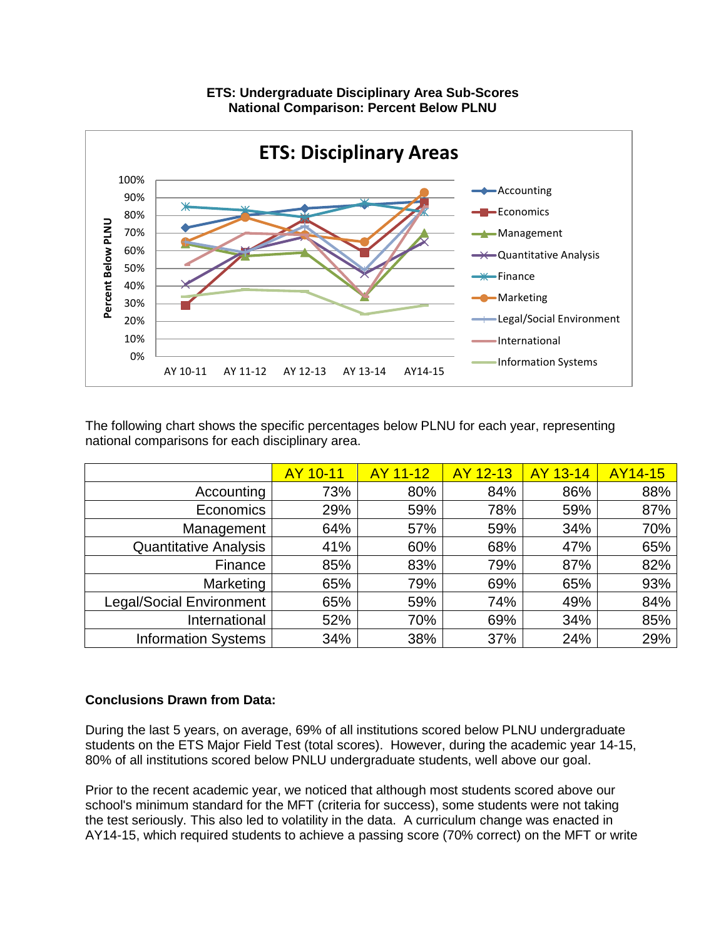

The following chart shows the specific percentages below PLNU for each year, representing national comparisons for each disciplinary area.

|                                 | AY 10-11 | AY 11-12 | AY 12-13 | AY 13-14 | <b>AY14-15</b> |
|---------------------------------|----------|----------|----------|----------|----------------|
| Accounting                      | 73%      | 80%      | 84%      | 86%      | 88%            |
| Economics                       | 29%      | 59%      | 78%      | 59%      | 87%            |
| Management                      | 64%      | 57%      | 59%      | 34%      | 70%            |
| <b>Quantitative Analysis</b>    | 41%      | 60%      | 68%      | 47%      | 65%            |
| Finance                         | 85%      | 83%      | 79%      | 87%      | 82%            |
| Marketing                       | 65%      | 79%      | 69%      | 65%      | 93%            |
| <b>Legal/Social Environment</b> | 65%      | 59%      | 74%      | 49%      | 84%            |
| International                   | 52%      | 70%      | 69%      | 34%      | 85%            |
| <b>Information Systems</b>      | 34%      | 38%      | 37%      | 24%      | 29%            |

## **Conclusions Drawn from Data:**

During the last 5 years, on average, 69% of all institutions scored below PLNU undergraduate students on the ETS Major Field Test (total scores). However, during the academic year 14-15, 80% of all institutions scored below PNLU undergraduate students, well above our goal.

Prior to the recent academic year, we noticed that although most students scored above our school's minimum standard for the MFT (criteria for success), some students were not taking the test seriously. This also led to volatility in the data. A curriculum change was enacted in AY14-15, which required students to achieve a passing score (70% correct) on the MFT or write